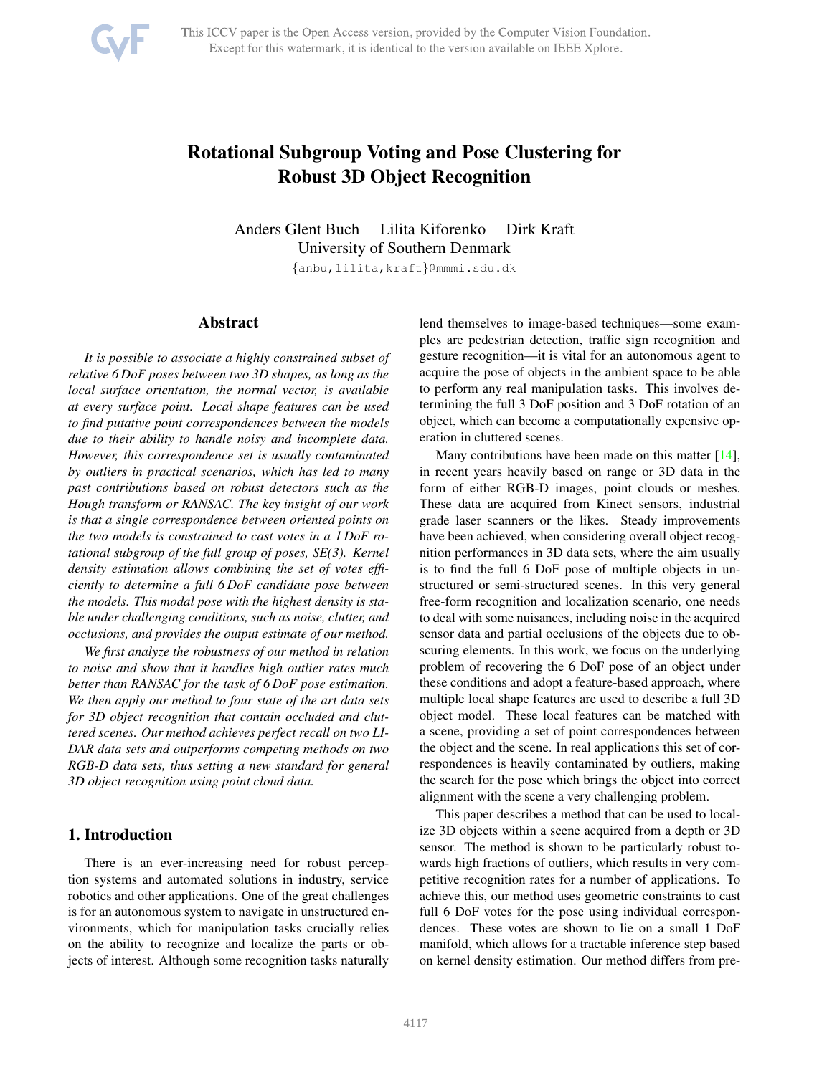<span id="page-0-0"></span>

# Rotational Subgroup Voting and Pose Clustering for Robust 3D Object Recognition

Anders Glent Buch Lilita Kiforenko Dirk Kraft University of Southern Denmark

{anbu,lilita,kraft}@mmmi.sdu.dk

## Abstract

*It is possible to associate a highly constrained subset of relative 6 DoF poses between two 3D shapes, as long as the local surface orientation, the normal vector, is available at every surface point. Local shape features can be used to find putative point correspondences between the models due to their ability to handle noisy and incomplete data. However, this correspondence set is usually contaminated by outliers in practical scenarios, which has led to many past contributions based on robust detectors such as the Hough transform or RANSAC. The key insight of our work is that a single correspondence between oriented points on the two models is constrained to cast votes in a 1 DoF rotational subgroup of the full group of poses, SE(3). Kernel density estimation allows combining the set of votes efficiently to determine a full 6 DoF candidate pose between the models. This modal pose with the highest density is stable under challenging conditions, such as noise, clutter, and occlusions, and provides the output estimate of our method.*

*We first analyze the robustness of our method in relation to noise and show that it handles high outlier rates much better than RANSAC for the task of 6 DoF pose estimation. We then apply our method to four state of the art data sets for 3D object recognition that contain occluded and cluttered scenes. Our method achieves perfect recall on two LI-DAR data sets and outperforms competing methods on two RGB-D data sets, thus setting a new standard for general 3D object recognition using point cloud data.*

# 1. Introduction

There is an ever-increasing need for robust perception systems and automated solutions in industry, service robotics and other applications. One of the great challenges is for an autonomous system to navigate in unstructured environments, which for manipulation tasks crucially relies on the ability to recognize and localize the parts or objects of interest. Although some recognition tasks naturally lend themselves to image-based techniques—some examples are pedestrian detection, traffic sign recognition and gesture recognition—it is vital for an autonomous agent to acquire the pose of objects in the ambient space to be able to perform any real manipulation tasks. This involves determining the full 3 DoF position and 3 DoF rotation of an object, which can become a computationally expensive operation in cluttered scenes.

Many contributions have been made on this matter [\[14\]](#page-8-0), in recent years heavily based on range or 3D data in the form of either RGB-D images, point clouds or meshes. These data are acquired from Kinect sensors, industrial grade laser scanners or the likes. Steady improvements have been achieved, when considering overall object recognition performances in 3D data sets, where the aim usually is to find the full 6 DoF pose of multiple objects in unstructured or semi-structured scenes. In this very general free-form recognition and localization scenario, one needs to deal with some nuisances, including noise in the acquired sensor data and partial occlusions of the objects due to obscuring elements. In this work, we focus on the underlying problem of recovering the 6 DoF pose of an object under these conditions and adopt a feature-based approach, where multiple local shape features are used to describe a full 3D object model. These local features can be matched with a scene, providing a set of point correspondences between the object and the scene. In real applications this set of correspondences is heavily contaminated by outliers, making the search for the pose which brings the object into correct alignment with the scene a very challenging problem.

This paper describes a method that can be used to localize 3D objects within a scene acquired from a depth or 3D sensor. The method is shown to be particularly robust towards high fractions of outliers, which results in very competitive recognition rates for a number of applications. To achieve this, our method uses geometric constraints to cast full 6 DoF votes for the pose using individual correspondences. These votes are shown to lie on a small 1 DoF manifold, which allows for a tractable inference step based on kernel density estimation. Our method differs from pre-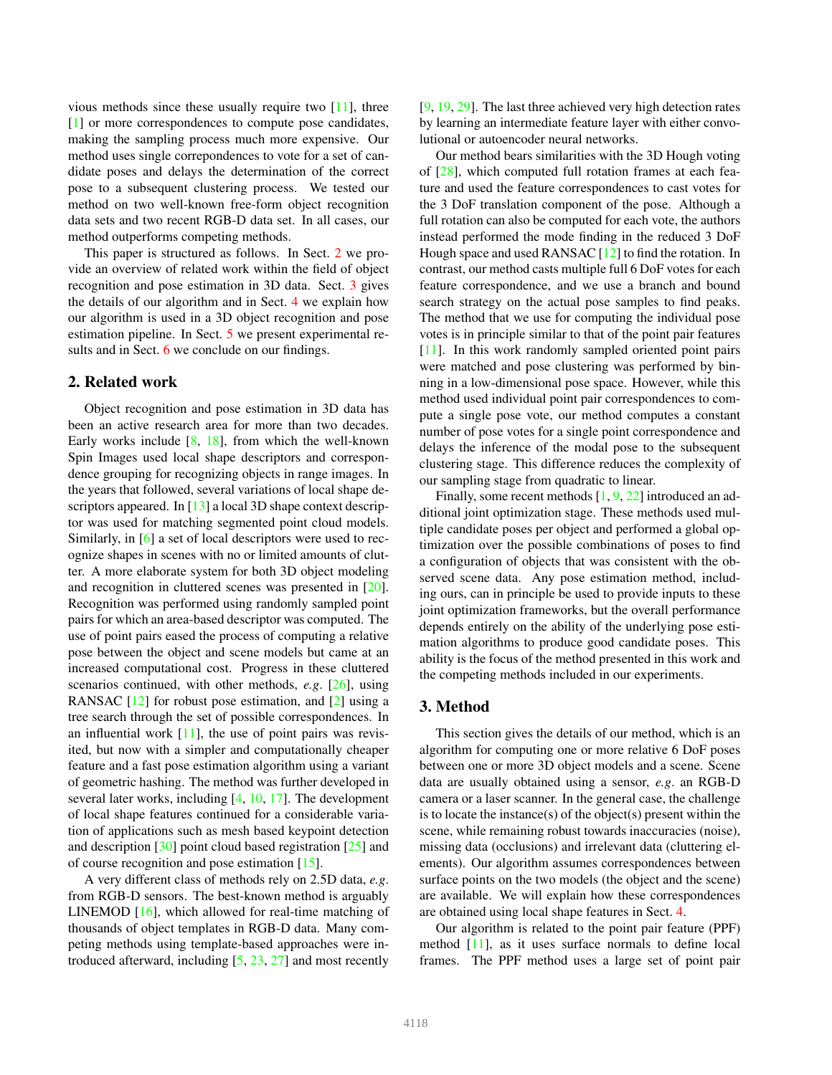<span id="page-1-2"></span>vious methods since these usually require two [\[11\]](#page-8-1), three [\[1\]](#page-8-2) or more correspondences to compute pose candidates, making the sampling process much more expensive. Our method uses single correpondences to vote for a set of candidate poses and delays the determination of the correct pose to a subsequent clustering process. We tested our method on two well-known free-form object recognition data sets and two recent RGB-D data set. In all cases, our method outperforms competing methods.

This paper is structured as follows. In Sect. [2](#page-1-0) we provide an overview of related work within the field of object recognition and pose estimation in 3D data. Sect. [3](#page-1-1) gives the details of our algorithm and in Sect. [4](#page-4-0) we explain how our algorithm is used in a 3D object recognition and pose estimation pipeline. In Sect. [5](#page-5-0) we present experimental re-sults and in Sect. [6](#page-7-0) we conclude on our findings.

## <span id="page-1-0"></span>2. Related work

Object recognition and pose estimation in 3D data has been an active research area for more than two decades. Early works include  $[8, 18]$  $[8, 18]$ , from which the well-known Spin Images used local shape descriptors and correspondence grouping for recognizing objects in range images. In the years that followed, several variations of local shape de-scriptors appeared. In [\[13\]](#page-8-5) a local 3D shape context descriptor was used for matching segmented point cloud models. Similarly, in [\[6\]](#page-8-6) a set of local descriptors were used to recognize shapes in scenes with no or limited amounts of clutter. A more elaborate system for both 3D object modeling and recognition in cluttered scenes was presented in [\[20\]](#page-8-7). Recognition was performed using randomly sampled point pairs for which an area-based descriptor was computed. The use of point pairs eased the process of computing a relative pose between the object and scene models but came at an increased computational cost. Progress in these cluttered scenarios continued, with other methods, *e.g*. [\[26\]](#page-8-8), using RANSAC [\[12\]](#page-8-9) for robust pose estimation, and [\[2\]](#page-8-10) using a tree search through the set of possible correspondences. In an influential work  $[11]$ , the use of point pairs was revisited, but now with a simpler and computationally cheaper feature and a fast pose estimation algorithm using a variant of geometric hashing. The method was further developed in several later works, including [\[4,](#page-8-11) [10,](#page-8-12) [17\]](#page-8-13). The development of local shape features continued for a considerable variation of applications such as mesh based keypoint detection and description [\[30\]](#page-8-14) point cloud based registration [\[25\]](#page-8-15) and of course recognition and pose estimation [\[15\]](#page-8-16).

A very different class of methods rely on 2.5D data, *e.g*. from RGB-D sensors. The best-known method is arguably LINEMOD [\[16\]](#page-8-17), which allowed for real-time matching of thousands of object templates in RGB-D data. Many competing methods using template-based approaches were introduced afterward, including [\[5,](#page-8-18) [23,](#page-8-19) [27\]](#page-8-20) and most recently [\[9,](#page-8-21) [19,](#page-8-22) [29\]](#page-8-23). The last three achieved very high detection rates by learning an intermediate feature layer with either convolutional or autoencoder neural networks.

Our method bears similarities with the 3D Hough voting of [\[28\]](#page-8-24), which computed full rotation frames at each feature and used the feature correspondences to cast votes for the 3 DoF translation component of the pose. Although a full rotation can also be computed for each vote, the authors instead performed the mode finding in the reduced 3 DoF Hough space and used RANSAC [\[12\]](#page-8-9) to find the rotation. In contrast, our method casts multiple full 6 DoF votes for each feature correspondence, and we use a branch and bound search strategy on the actual pose samples to find peaks. The method that we use for computing the individual pose votes is in principle similar to that of the point pair features [\[11\]](#page-8-1). In this work randomly sampled oriented point pairs were matched and pose clustering was performed by binning in a low-dimensional pose space. However, while this method used individual point pair correspondences to compute a single pose vote, our method computes a constant number of pose votes for a single point correspondence and delays the inference of the modal pose to the subsequent clustering stage. This difference reduces the complexity of our sampling stage from quadratic to linear.

Finally, some recent methods  $[1, 9, 22]$  $[1, 9, 22]$  $[1, 9, 22]$  $[1, 9, 22]$  $[1, 9, 22]$  introduced an additional joint optimization stage. These methods used multiple candidate poses per object and performed a global optimization over the possible combinations of poses to find a configuration of objects that was consistent with the observed scene data. Any pose estimation method, including ours, can in principle be used to provide inputs to these joint optimization frameworks, but the overall performance depends entirely on the ability of the underlying pose estimation algorithms to produce good candidate poses. This ability is the focus of the method presented in this work and the competing methods included in our experiments.

## <span id="page-1-1"></span>3. Method

This section gives the details of our method, which is an algorithm for computing one or more relative 6 DoF poses between one or more 3D object models and a scene. Scene data are usually obtained using a sensor, *e.g*. an RGB-D camera or a laser scanner. In the general case, the challenge is to locate the instance(s) of the object(s) present within the scene, while remaining robust towards inaccuracies (noise), missing data (occlusions) and irrelevant data (cluttering elements). Our algorithm assumes correspondences between surface points on the two models (the object and the scene) are available. We will explain how these correspondences are obtained using local shape features in Sect. [4.](#page-4-0)

Our algorithm is related to the point pair feature (PPF) method [\[11\]](#page-8-1), as it uses surface normals to define local frames. The PPF method uses a large set of point pair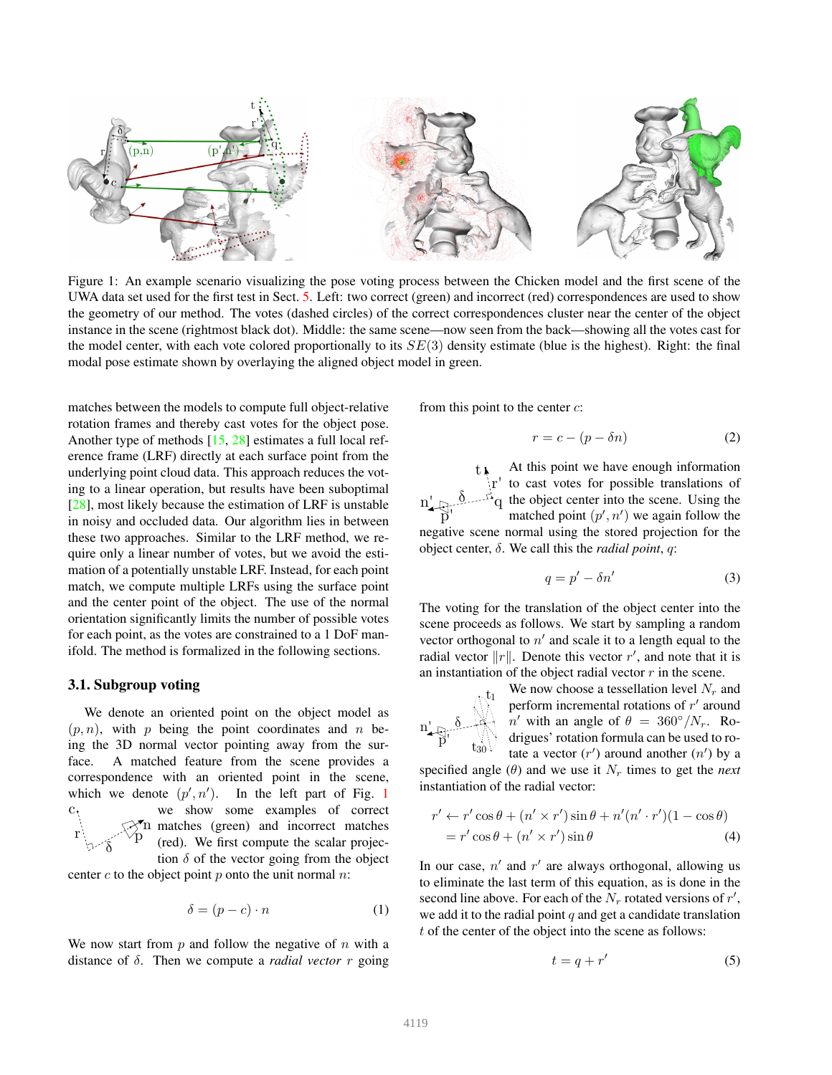<span id="page-2-1"></span><span id="page-2-0"></span>

Figure 1: An example scenario visualizing the pose voting process between the Chicken model and the first scene of the UWA data set used for the first test in Sect. [5.](#page-5-0) Left: two correct (green) and incorrect (red) correspondences are used to show the geometry of our method. The votes (dashed circles) of the correct correspondences cluster near the center of the object instance in the scene (rightmost black dot). Middle: the same scene—now seen from the back—showing all the votes cast for the model center, with each vote colored proportionally to its  $SE(3)$  density estimate (blue is the highest). Right: the final modal pose estimate shown by overlaying the aligned object model in green.

matches between the models to compute full object-relative rotation frames and thereby cast votes for the object pose. Another type of methods [\[15,](#page-8-16) [28\]](#page-8-24) estimates a full local reference frame (LRF) directly at each surface point from the underlying point cloud data. This approach reduces the voting to a linear operation, but results have been suboptimal [\[28\]](#page-8-24), most likely because the estimation of LRF is unstable in noisy and occluded data. Our algorithm lies in between these two approaches. Similar to the LRF method, we require only a linear number of votes, but we avoid the estimation of a potentially unstable LRF. Instead, for each point match, we compute multiple LRFs using the surface point and the center point of the object. The use of the normal orientation significantly limits the number of possible votes for each point, as the votes are constrained to a 1 DoF manifold. The method is formalized in the following sections.

## 3.1. Subgroup voting

We denote an oriented point on the object model as  $(p, n)$ , with p being the point coordinates and n being the 3D normal vector pointing away from the surface. A matched feature from the scene provides a correspondence with an oriented point in the scene, which we denote  $(p', n')$ . In the left part of Fig. [1](#page-2-0) c In matches (green) and incorrect matches<br>  $\overline{P}$  (red) We first compute the scalar projecr δ we show some examples of correct (red). We first compute the scalar projection  $\delta$  of the vector going from the object

center c to the object point  $p$  onto the unit normal  $n$ :

$$
\delta = (p - c) \cdot n \tag{1}
$$

We now start from  $p$  and follow the negative of  $n$  with a distance of  $\delta$ . Then we compute a *radial vector* r going from this point to the center  $c$ :

$$
r = c - (p - \delta n) \tag{2}
$$

t  $\stackrel{\sim}{\rm p}$ ' n' r'  $\mathfrak{g}$  and  $\mathfrak{g}$ At this point we have enough information to cast votes for possible translations of the object center into the scene. Using the matched point  $(p', n')$  we again follow the negative scene normal using the stored projection for the object center, δ. We call this the *radial point*, q:

$$
q = p' - \delta n'
$$
 (3)

The voting for the translation of the object center into the scene proceeds as follows. We start by sampling a random vector orthogonal to  $n'$  and scale it to a length equal to the radial vector  $||r||$ . Denote this vector r', and note that it is an instantiation of the object radial vector  $r$  in the scene.

$$
n'_{\overbrace{p'}^{\overbrace{b'}^{\delta}}}\bigotimes_{t_{30}\setminus\hspace{-0.1cm}b\atop t_{30}\setminus\hspace{-0.1cm}b}
$$

We now choose a tessellation level  $N_r$  and perform incremental rotations of  $r'$  around n' with an angle of  $\theta = 360^{\circ}/N_r$ . Rodrigues' rotation formula can be used to rotate a vector  $(r')$  around another  $(n')$  by a

specified angle  $(\theta)$  and we use it  $N_r$  times to get the *next* instantiation of the radial vector:

$$
r' \leftarrow r' \cos \theta + (n' \times r') \sin \theta + n'(n' \cdot r')(1 - \cos \theta)
$$
  
=  $r' \cos \theta + (n' \times r') \sin \theta$  (4)

In our case,  $n'$  and  $r'$  are always orthogonal, allowing us to eliminate the last term of this equation, as is done in the second line above. For each of the  $N_r$  rotated versions of  $r'$ , we add it to the radial point  $q$  and get a candidate translation t of the center of the object into the scene as follows:

$$
t = q + r'
$$
 (5)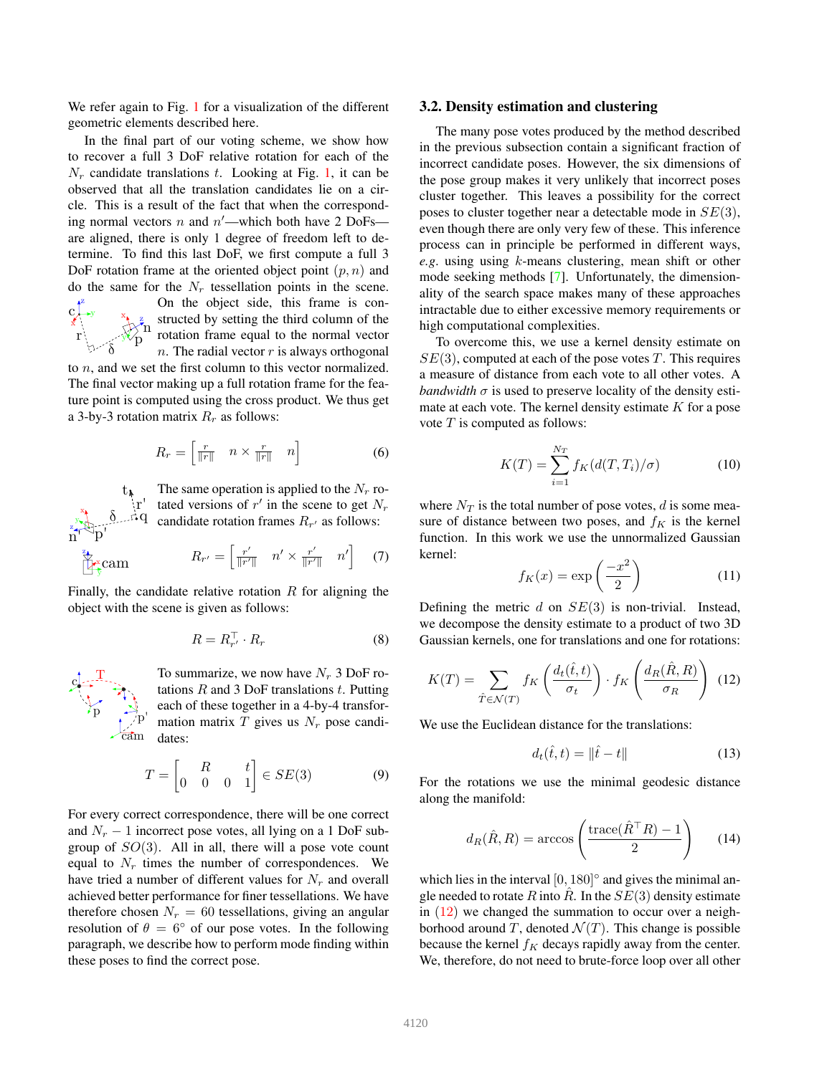<span id="page-3-2"></span>We refer again to Fig. [1](#page-2-0) for a visualization of the different geometric elements described here.

In the final part of our voting scheme, we show how to recover a full 3 DoF relative rotation for each of the  $N_r$  candidate translations t. Looking at Fig. [1,](#page-2-0) it can be observed that all the translation candidates lie on a circle. This is a result of the fact that when the corresponding normal vectors  $n$  and  $n'$ —which both have 2 DoFs are aligned, there is only 1 degree of freedom left to determine. To find this last DoF, we first compute a full 3 DoF rotation frame at the oriented object point  $(p, n)$  and do the same for the  $N_r$  tessellation points in the scene.



x y z

 $\frac{z}{n}$  structed by setting the third column of the  $\frac{z}{n}$  rotation frame equal to the normal vector On the object side, this frame is conrotation frame equal to the normal vector  $n.$  The radial vector  $r$  is always orthogonal

to n, and we set the first column to this vector normalized. The final vector making up a full rotation frame for the feature point is computed using the cross product. We thus get a 3-by-3 rotation matrix  $R_r$  as follows:

$$
R_r = \begin{bmatrix} \frac{r}{\|r\|} & n \times \frac{r}{\|r\|} & n \end{bmatrix}
$$
 (6)

t r' for the scene to get  $N_r$ <br>  $\delta$  and  $\epsilon$  candidate rotation frames  $R_{r'}$  as follows: The same operation is applied to the  $N_r$  rocandidate rotation frames  $R_{r'}$  as follows:

$$
R_{r'} = \begin{bmatrix} \frac{r'}{||r'||} & n' \times \frac{r'}{||r'||} & n' \end{bmatrix} \quad (7)
$$

Finally, the candidate relative rotation  $R$  for aligning the object with the scene is given as follows:

$$
R = R_{r'}^\top \cdot R_r \tag{8}
$$



To summarize, we now have  $N_r$  3 DoF rotations  $R$  and 3 DoF translations  $t$ . Putting each of these together in a 4-by-4 transformation matrix  $T$  gives us  $N_r$  pose candidates:

$$
T = \begin{bmatrix} R & t \\ 0 & 0 & 0 & 1 \end{bmatrix} \in SE(3) \tag{9}
$$

For every correct correspondence, there will be one correct and  $N_r - 1$  incorrect pose votes, all lying on a 1 DoF subgroup of  $SO(3)$ . All in all, there will a pose vote count equal to  $N_r$  times the number of correspondences. We have tried a number of different values for  $N_r$  and overall achieved better performance for finer tessellations. We have therefore chosen  $N_r = 60$  tessellations, giving an angular resolution of  $\theta = 6^\circ$  of our pose votes. In the following paragraph, we describe how to perform mode finding within these poses to find the correct pose.

#### 3.2. Density estimation and clustering

The many pose votes produced by the method described in the previous subsection contain a significant fraction of incorrect candidate poses. However, the six dimensions of the pose group makes it very unlikely that incorrect poses cluster together. This leaves a possibility for the correct poses to cluster together near a detectable mode in  $SE(3)$ , even though there are only very few of these. This inference process can in principle be performed in different ways, *e.g*. using using k-means clustering, mean shift or other mode seeking methods [\[7\]](#page-8-26). Unfortunately, the dimensionality of the search space makes many of these approaches intractable due to either excessive memory requirements or high computational complexities.

To overcome this, we use a kernel density estimate on  $SE(3)$ , computed at each of the pose votes T. This requires a measure of distance from each vote to all other votes. A *bandwidth*  $\sigma$  is used to preserve locality of the density estimate at each vote. The kernel density estimate  $K$  for a pose vote  $T$  is computed as follows:

$$
K(T) = \sum_{i=1}^{N_T} f_K(d(T, T_i)/\sigma)
$$
 (10)

where  $N_T$  is the total number of pose votes, d is some measure of distance between two poses, and  $f_K$  is the kernel function. In this work we use the unnormalized Gaussian kernel:

$$
f_K(x) = \exp\left(\frac{-x^2}{2}\right) \tag{11}
$$

Defining the metric d on  $SE(3)$  is non-trivial. Instead, we decompose the density estimate to a product of two 3D Gaussian kernels, one for translations and one for rotations:

<span id="page-3-0"></span>
$$
K(T) = \sum_{\hat{T} \in \mathcal{N}(T)} f_K\left(\frac{d_t(\hat{t}, t)}{\sigma_t}\right) \cdot f_K\left(\frac{d_R(\hat{R}, R)}{\sigma_R}\right) \tag{12}
$$

We use the Euclidean distance for the translations:

$$
d_t(\hat{t}, t) = \|\hat{t} - t\| \tag{13}
$$

For the rotations we use the minimal geodesic distance along the manifold:

<span id="page-3-1"></span>
$$
d_R(\hat{R}, R) = \arccos\left(\frac{\text{trace}(\hat{R}^\top R) - 1}{2}\right) \tag{14}
$$

which lies in the interval  $[0, 180]$ <sup>o</sup> and gives the minimal angle needed to rotate R into  $\hat{R}$ . In the  $SE(3)$  density estimate in  $(12)$  we changed the summation to occur over a neighborhood around T, denoted  $\mathcal{N}(T)$ . This change is possible because the kernel  $f_K$  decays rapidly away from the center. We, therefore, do not need to brute-force loop over all other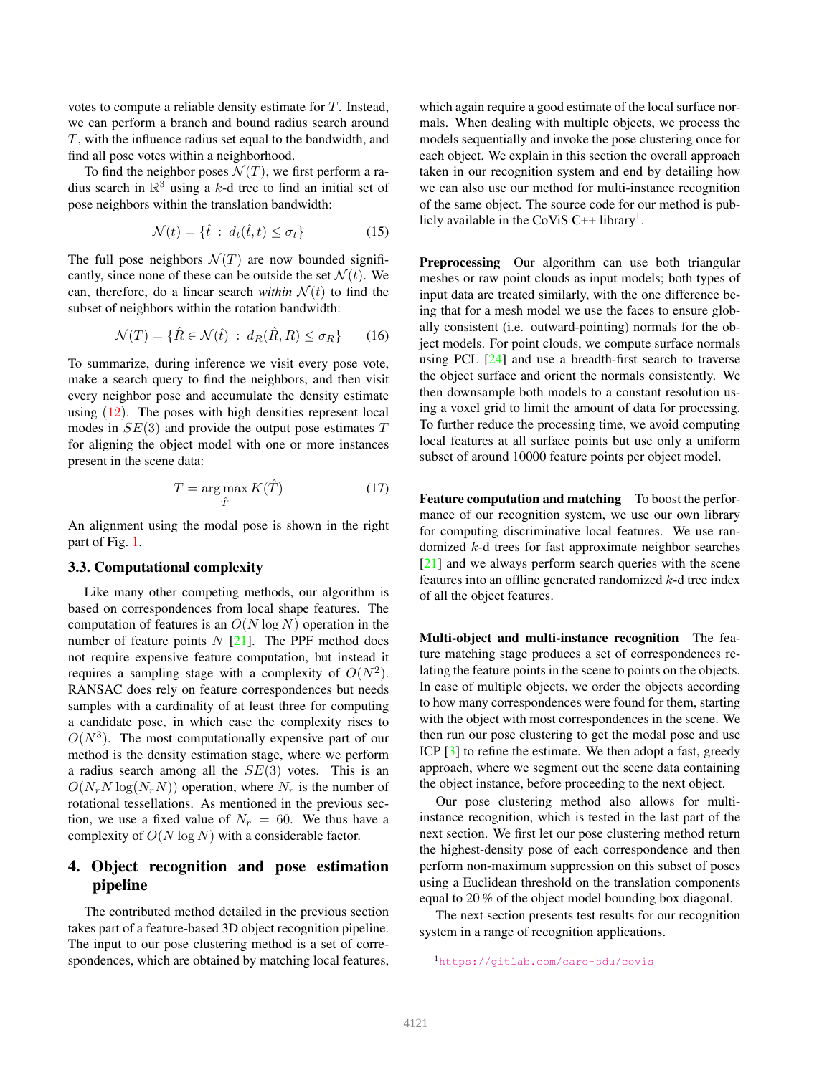<span id="page-4-2"></span>votes to compute a reliable density estimate for T. Instead, we can perform a branch and bound radius search around T, with the influence radius set equal to the bandwidth, and find all pose votes within a neighborhood.

To find the neighbor poses  $\mathcal{N}(T)$ , we first perform a radius search in  $\mathbb{R}^3$  using a k-d tree to find an initial set of pose neighbors within the translation bandwidth:

$$
\mathcal{N}(t) = \{\hat{t} \,:\, d_t(\hat{t}, t) \le \sigma_t\} \tag{15}
$$

The full pose neighbors  $\mathcal{N}(T)$  are now bounded significantly, since none of these can be outside the set  $\mathcal{N}(t)$ . We can, therefore, do a linear search *within*  $\mathcal{N}(t)$  to find the subset of neighbors within the rotation bandwidth:

$$
\mathcal{N}(T) = \{ \hat{R} \in \mathcal{N}(\hat{t}) \; : \; d_R(\hat{R}, R) \le \sigma_R \} \qquad (16)
$$

To summarize, during inference we visit every pose vote, make a search query to find the neighbors, and then visit every neighbor pose and accumulate the density estimate using  $(12)$ . The poses with high densities represent local modes in  $SE(3)$  and provide the output pose estimates T for aligning the object model with one or more instances present in the scene data:

$$
T = \underset{\hat{T}}{\arg \max} K(\hat{T}) \tag{17}
$$

An alignment using the modal pose is shown in the right part of Fig. [1.](#page-2-0)

## 3.3. Computational complexity

Like many other competing methods, our algorithm is based on correspondences from local shape features. The computation of features is an  $O(N \log N)$  operation in the number of feature points  $N$  [\[21\]](#page-8-27). The PPF method does not require expensive feature computation, but instead it requires a sampling stage with a complexity of  $O(N^2)$ . RANSAC does rely on feature correspondences but needs samples with a cardinality of at least three for computing a candidate pose, in which case the complexity rises to  $O(N^3)$ . The most computationally expensive part of our method is the density estimation stage, where we perform a radius search among all the  $SE(3)$  votes. This is an  $O(N_rN \log(N_rN))$  operation, where  $N_r$  is the number of rotational tessellations. As mentioned in the previous section, we use a fixed value of  $N_r = 60$ . We thus have a complexity of  $O(N \log N)$  with a considerable factor.

# <span id="page-4-0"></span>4. Object recognition and pose estimation pipeline

The contributed method detailed in the previous section takes part of a feature-based 3D object recognition pipeline. The input to our pose clustering method is a set of correspondences, which are obtained by matching local features, which again require a good estimate of the local surface normals. When dealing with multiple objects, we process the models sequentially and invoke the pose clustering once for each object. We explain in this section the overall approach taken in our recognition system and end by detailing how we can also use our method for multi-instance recognition of the same object. The source code for our method is pub-licly available in the CoViS C++ library<sup>[1](#page-4-1)</sup>.

Preprocessing Our algorithm can use both triangular meshes or raw point clouds as input models; both types of input data are treated similarly, with the one difference being that for a mesh model we use the faces to ensure globally consistent (i.e. outward-pointing) normals for the object models. For point clouds, we compute surface normals using PCL  $[24]$  and use a breadth-first search to traverse the object surface and orient the normals consistently. We then downsample both models to a constant resolution using a voxel grid to limit the amount of data for processing. To further reduce the processing time, we avoid computing local features at all surface points but use only a uniform subset of around 10000 feature points per object model.

Feature computation and matching To boost the performance of our recognition system, we use our own library for computing discriminative local features. We use randomized k-d trees for fast approximate neighbor searches [\[21\]](#page-8-27) and we always perform search queries with the scene features into an offline generated randomized k-d tree index of all the object features.

Multi-object and multi-instance recognition The feature matching stage produces a set of correspondences relating the feature points in the scene to points on the objects. In case of multiple objects, we order the objects according to how many correspondences were found for them, starting with the object with most correspondences in the scene. We then run our pose clustering to get the modal pose and use ICP [\[3\]](#page-8-29) to refine the estimate. We then adopt a fast, greedy approach, where we segment out the scene data containing the object instance, before proceeding to the next object.

Our pose clustering method also allows for multiinstance recognition, which is tested in the last part of the next section. We first let our pose clustering method return the highest-density pose of each correspondence and then perform non-maximum suppression on this subset of poses using a Euclidean threshold on the translation components equal to 20 % of the object model bounding box diagonal.

The next section presents test results for our recognition system in a range of recognition applications.

<span id="page-4-1"></span><sup>1</sup><https://gitlab.com/caro-sdu/covis>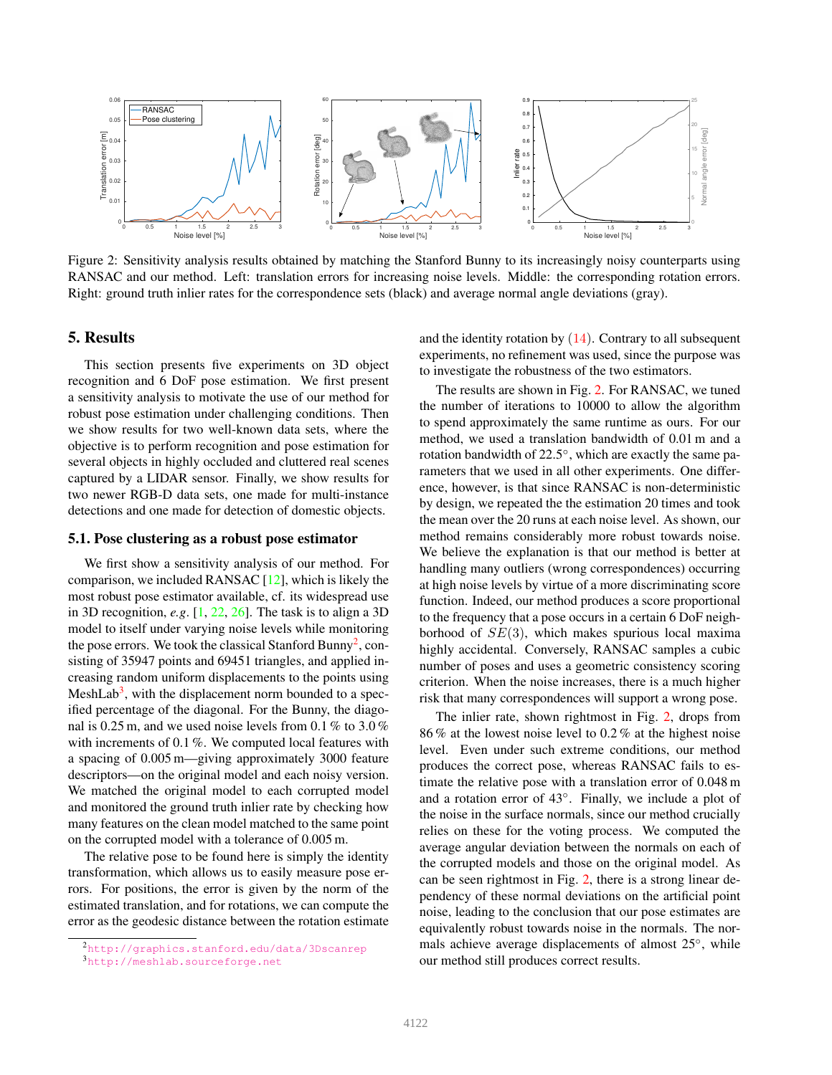<span id="page-5-4"></span><span id="page-5-3"></span>

Figure 2: Sensitivity analysis results obtained by matching the Stanford Bunny to its increasingly noisy counterparts using RANSAC and our method. Left: translation errors for increasing noise levels. Middle: the corresponding rotation errors. Right: ground truth inlier rates for the correspondence sets (black) and average normal angle deviations (gray).

# <span id="page-5-0"></span>5. Results

This section presents five experiments on 3D object recognition and 6 DoF pose estimation. We first present a sensitivity analysis to motivate the use of our method for robust pose estimation under challenging conditions. Then we show results for two well-known data sets, where the objective is to perform recognition and pose estimation for several objects in highly occluded and cluttered real scenes captured by a LIDAR sensor. Finally, we show results for two newer RGB-D data sets, one made for multi-instance detections and one made for detection of domestic objects.

#### 5.1. Pose clustering as a robust pose estimator

We first show a sensitivity analysis of our method. For comparison, we included RANSAC [\[12\]](#page-8-9), which is likely the most robust pose estimator available, cf. its widespread use in 3D recognition, *e.g*. [\[1,](#page-8-2) [22,](#page-8-25) [26\]](#page-8-8). The task is to align a 3D model to itself under varying noise levels while monitoring the pose errors. We took the classical Stanford Bunny<sup>[2](#page-5-1)</sup>, consisting of 35947 points and 69451 triangles, and applied increasing random uniform displacements to the points using MeshLab<sup>[3](#page-5-2)</sup>, with the displacement norm bounded to a specified percentage of the diagonal. For the Bunny, the diagonal is 0.25 m, and we used noise levels from 0.1 % to 3.0 % with increments of 0.1 %. We computed local features with a spacing of 0.005 m—giving approximately 3000 feature descriptors—on the original model and each noisy version. We matched the original model to each corrupted model and monitored the ground truth inlier rate by checking how many features on the clean model matched to the same point on the corrupted model with a tolerance of 0.005 m.

The relative pose to be found here is simply the identity transformation, which allows us to easily measure pose errors. For positions, the error is given by the norm of the estimated translation, and for rotations, we can compute the error as the geodesic distance between the rotation estimate

and the identity rotation by  $(14)$ . Contrary to all subsequent experiments, no refinement was used, since the purpose was to investigate the robustness of the two estimators.

The results are shown in Fig. [2.](#page-5-3) For RANSAC, we tuned the number of iterations to 10000 to allow the algorithm to spend approximately the same runtime as ours. For our method, we used a translation bandwidth of 0.01 m and a rotation bandwidth of 22.5°, which are exactly the same parameters that we used in all other experiments. One difference, however, is that since RANSAC is non-deterministic by design, we repeated the the estimation 20 times and took the mean over the 20 runs at each noise level. As shown, our method remains considerably more robust towards noise. We believe the explanation is that our method is better at handling many outliers (wrong correspondences) occurring at high noise levels by virtue of a more discriminating score function. Indeed, our method produces a score proportional to the frequency that a pose occurs in a certain 6 DoF neighborhood of  $SE(3)$ , which makes spurious local maxima highly accidental. Conversely, RANSAC samples a cubic number of poses and uses a geometric consistency scoring criterion. When the noise increases, there is a much higher risk that many correspondences will support a wrong pose.

The inlier rate, shown rightmost in Fig. [2,](#page-5-3) drops from 86 % at the lowest noise level to 0.2 % at the highest noise level. Even under such extreme conditions, our method produces the correct pose, whereas RANSAC fails to estimate the relative pose with a translation error of 0.048 m and a rotation error of 43◦ . Finally, we include a plot of the noise in the surface normals, since our method crucially relies on these for the voting process. We computed the average angular deviation between the normals on each of the corrupted models and those on the original model. As can be seen rightmost in Fig. [2,](#page-5-3) there is a strong linear dependency of these normal deviations on the artificial point noise, leading to the conclusion that our pose estimates are equivalently robust towards noise in the normals. The normals achieve average displacements of almost 25°, while our method still produces correct results.

<span id="page-5-1"></span><sup>2</sup><http://graphics.stanford.edu/data/3Dscanrep>

<span id="page-5-2"></span><sup>3</sup><http://meshlab.sourceforge.net>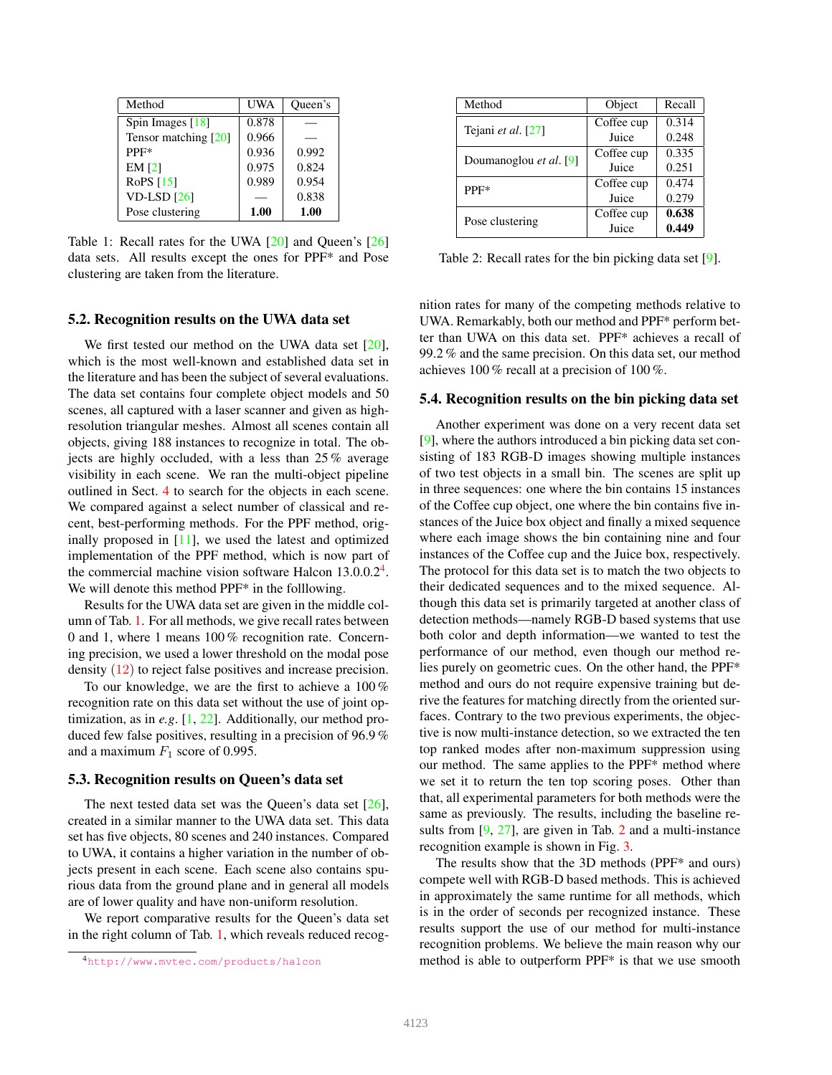<span id="page-6-3"></span><span id="page-6-1"></span>

| Method               | UWA   | Queen's |
|----------------------|-------|---------|
| Spin Images $[18]$   | 0.878 |         |
| Tensor matching [20] | 0.966 |         |
| PPF*                 | 0.936 | 0.992   |
| EM <sub>[2]</sub>    | 0.975 | 0.824   |
| RoPS [15]            | 0.989 | 0.954   |
| $VD$ -LSD $[26]$     |       | 0.838   |
| Pose clustering      | 1.00  | 1.00    |

Table 1: Recall rates for the UWA [\[20\]](#page-8-7) and Queen's [\[26\]](#page-8-8) data sets. All results except the ones for PPF\* and Pose clustering are taken from the literature.

#### 5.2. Recognition results on the UWA data set

We first tested our method on the UWA data set [\[20\]](#page-8-7), which is the most well-known and established data set in the literature and has been the subject of several evaluations. The data set contains four complete object models and 50 scenes, all captured with a laser scanner and given as highresolution triangular meshes. Almost all scenes contain all objects, giving 188 instances to recognize in total. The objects are highly occluded, with a less than 25 % average visibility in each scene. We ran the multi-object pipeline outlined in Sect. [4](#page-4-0) to search for the objects in each scene. We compared against a select number of classical and recent, best-performing methods. For the PPF method, originally proposed in [\[11\]](#page-8-1), we used the latest and optimized implementation of the PPF method, which is now part of the commercial machine vision software Halcon  $13.0.0.2<sup>4</sup>$  $13.0.0.2<sup>4</sup>$  $13.0.0.2<sup>4</sup>$ . We will denote this method PPF<sup>\*</sup> in the folllowing.

Results for the UWA data set are given in the middle column of Tab. [1.](#page-6-1) For all methods, we give recall rates between 0 and 1, where 1 means 100 % recognition rate. Concerning precision, we used a lower threshold on the modal pose density [\(12\)](#page-3-0) to reject false positives and increase precision.

To our knowledge, we are the first to achieve a 100 % recognition rate on this data set without the use of joint optimization, as in *e.g*. [\[1,](#page-8-2) [22\]](#page-8-25). Additionally, our method produced few false positives, resulting in a precision of 96.9 % and a maximum  $F_1$  score of 0.995.

#### 5.3. Recognition results on Queen's data set

The next tested data set was the Queen's data set [\[26\]](#page-8-8), created in a similar manner to the UWA data set. This data set has five objects, 80 scenes and 240 instances. Compared to UWA, it contains a higher variation in the number of objects present in each scene. Each scene also contains spurious data from the ground plane and in general all models are of lower quality and have non-uniform resolution.

We report comparative results for the Queen's data set in the right column of Tab. [1,](#page-6-1) which reveals reduced recog-

<span id="page-6-2"></span>

| Method                 | Object     | Recall |
|------------------------|------------|--------|
|                        | Coffee cup | 0.314  |
| Tejani et al. [27]     | Juice      | 0.248  |
| Doumanoglou et al. [9] | Coffee cup | 0.335  |
|                        | Juice      | 0.251  |
| $PPF*$                 | Coffee cup | 0.474  |
|                        | Juice      | 0.279  |
| Pose clustering        | Coffee cup | 0.638  |
|                        | Juice      | 0.449  |

Table 2: Recall rates for the bin picking data set [\[9\]](#page-8-21).

nition rates for many of the competing methods relative to UWA. Remarkably, both our method and PPF\* perform better than UWA on this data set. PPF\* achieves a recall of 99.2 % and the same precision. On this data set, our method achieves 100 % recall at a precision of 100 %.

#### 5.4. Recognition results on the bin picking data set

Another experiment was done on a very recent data set [\[9\]](#page-8-21), where the authors introduced a bin picking data set consisting of 183 RGB-D images showing multiple instances of two test objects in a small bin. The scenes are split up in three sequences: one where the bin contains 15 instances of the Coffee cup object, one where the bin contains five instances of the Juice box object and finally a mixed sequence where each image shows the bin containing nine and four instances of the Coffee cup and the Juice box, respectively. The protocol for this data set is to match the two objects to their dedicated sequences and to the mixed sequence. Although this data set is primarily targeted at another class of detection methods—namely RGB-D based systems that use both color and depth information—we wanted to test the performance of our method, even though our method relies purely on geometric cues. On the other hand, the PPF\* method and ours do not require expensive training but derive the features for matching directly from the oriented surfaces. Contrary to the two previous experiments, the objective is now multi-instance detection, so we extracted the ten top ranked modes after non-maximum suppression using our method. The same applies to the PPF\* method where we set it to return the ten top scoring poses. Other than that, all experimental parameters for both methods were the same as previously. The results, including the baseline results from  $[9, 27]$  $[9, 27]$  $[9, 27]$ , are given in Tab. [2](#page-6-2) and a multi-instance recognition example is shown in Fig. [3.](#page-7-1)

The results show that the 3D methods (PPF\* and ours) compete well with RGB-D based methods. This is achieved in approximately the same runtime for all methods, which is in the order of seconds per recognized instance. These results support the use of our method for multi-instance recognition problems. We believe the main reason why our method is able to outperform PPF\* is that we use smooth

<span id="page-6-0"></span><sup>4</sup><http://www.mvtec.com/products/halcon>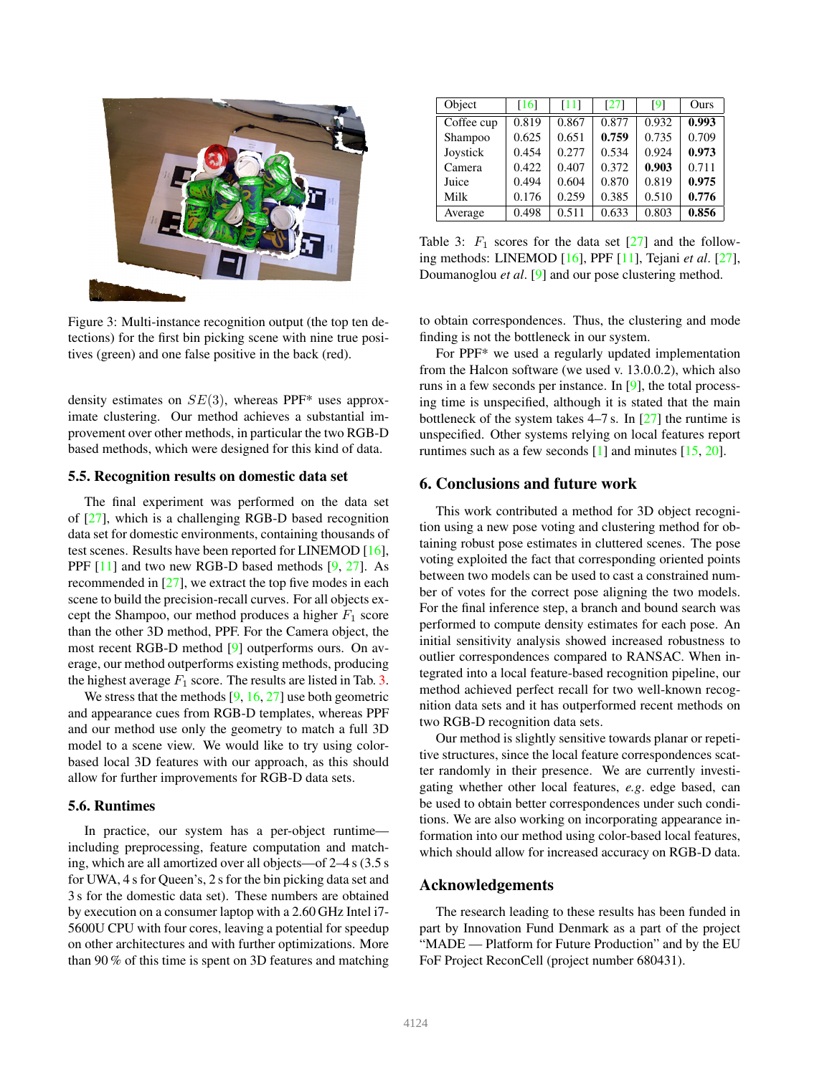<span id="page-7-3"></span><span id="page-7-1"></span>

Figure 3: Multi-instance recognition output (the top ten detections) for the first bin picking scene with nine true positives (green) and one false positive in the back (red).

density estimates on  $SE(3)$ , whereas PPF\* uses approximate clustering. Our method achieves a substantial improvement over other methods, in particular the two RGB-D based methods, which were designed for this kind of data.

#### 5.5. Recognition results on domestic data set

The final experiment was performed on the data set of [\[27\]](#page-8-20), which is a challenging RGB-D based recognition data set for domestic environments, containing thousands of test scenes. Results have been reported for LINEMOD [\[16\]](#page-8-17), PPF [\[11\]](#page-8-1) and two new RGB-D based methods [\[9,](#page-8-21) [27\]](#page-8-20). As recommended in [\[27\]](#page-8-20), we extract the top five modes in each scene to build the precision-recall curves. For all objects except the Shampoo, our method produces a higher  $F_1$  score than the other 3D method, PPF. For the Camera object, the most recent RGB-D method [\[9\]](#page-8-21) outperforms ours. On average, our method outperforms existing methods, producing the highest average  $F_1$  score. The results are listed in Tab. [3.](#page-7-2)

We stress that the methods  $[9, 16, 27]$  $[9, 16, 27]$  $[9, 16, 27]$  $[9, 16, 27]$  use both geometric and appearance cues from RGB-D templates, whereas PPF and our method use only the geometry to match a full 3D model to a scene view. We would like to try using colorbased local 3D features with our approach, as this should allow for further improvements for RGB-D data sets.

#### 5.6. Runtimes

In practice, our system has a per-object runtime including preprocessing, feature computation and matching, which are all amortized over all objects—of 2–4 s (3.5 s for UWA, 4 s for Queen's, 2 s for the bin picking data set and 3 s for the domestic data set). These numbers are obtained by execution on a consumer laptop with a 2.60 GHz Intel i7- 5600U CPU with four cores, leaving a potential for speedup on other architectures and with further optimizations. More than 90 % of this time is spent on 3D features and matching

<span id="page-7-2"></span>

| Object     | [16]  | [11]  | [27]  | $\lceil 9 \rceil$ | Ours  |
|------------|-------|-------|-------|-------------------|-------|
| Coffee cup | 0.819 | 0.867 | 0.877 | 0.932             | 0.993 |
| Shampoo    | 0.625 | 0.651 | 0.759 | 0.735             | 0.709 |
| Joystick   | 0.454 | 0.277 | 0.534 | 0.924             | 0.973 |
| Camera     | 0.422 | 0.407 | 0.372 | 0.903             | 0.711 |
| Juice      | 0.494 | 0.604 | 0.870 | 0.819             | 0.975 |
| Milk       | 0.176 | 0.259 | 0.385 | 0.510             | 0.776 |
| Average    | 0.498 | 0.511 | 0.633 | 0.803             | 0.856 |

Table 3:  $F_1$  scores for the data set  $[27]$  and the following methods: LINEMOD [\[16\]](#page-8-17), PPF [\[11\]](#page-8-1), Tejani *et al*. [\[27\]](#page-8-20), Doumanoglou *et al*. [\[9\]](#page-8-21) and our pose clustering method.

to obtain correspondences. Thus, the clustering and mode finding is not the bottleneck in our system.

For PPF\* we used a regularly updated implementation from the Halcon software (we used v. 13.0.0.2), which also runs in a few seconds per instance. In [\[9\]](#page-8-21), the total processing time is unspecified, although it is stated that the main bottleneck of the system takes  $4-7$  s. In [\[27\]](#page-8-20) the runtime is unspecified. Other systems relying on local features report runtimes such as a few seconds  $[1]$  and minutes  $[15, 20]$  $[15, 20]$ .

# <span id="page-7-0"></span>6. Conclusions and future work

This work contributed a method for 3D object recognition using a new pose voting and clustering method for obtaining robust pose estimates in cluttered scenes. The pose voting exploited the fact that corresponding oriented points between two models can be used to cast a constrained number of votes for the correct pose aligning the two models. For the final inference step, a branch and bound search was performed to compute density estimates for each pose. An initial sensitivity analysis showed increased robustness to outlier correspondences compared to RANSAC. When integrated into a local feature-based recognition pipeline, our method achieved perfect recall for two well-known recognition data sets and it has outperformed recent methods on two RGB-D recognition data sets.

Our method is slightly sensitive towards planar or repetitive structures, since the local feature correspondences scatter randomly in their presence. We are currently investigating whether other local features, *e.g*. edge based, can be used to obtain better correspondences under such conditions. We are also working on incorporating appearance information into our method using color-based local features, which should allow for increased accuracy on RGB-D data.

#### Acknowledgements

The research leading to these results has been funded in part by Innovation Fund Denmark as a part of the project "MADE — Platform for Future Production" and by the EU FoF Project ReconCell (project number 680431).